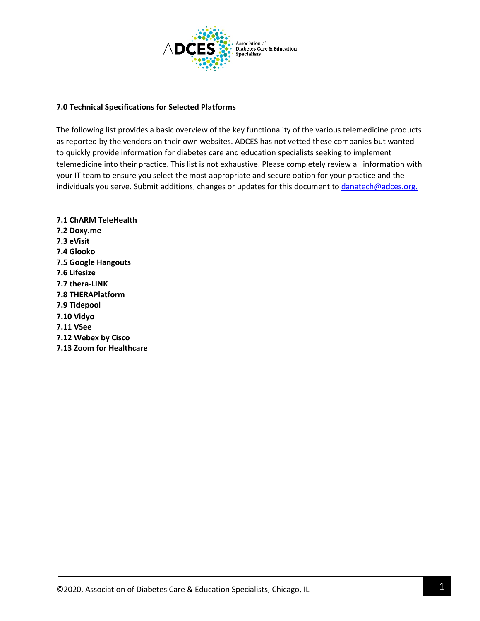

# **7.0 Technical Specifications for Selected Platforms**

The following list provides a basic overview of the key functionality of the various telemedicine products as reported by the vendors on their own websites. ADCES has not vetted these companies but wanted to quickly provide information for diabetes care and education specialists seeking to implement telemedicine into their practice. This list is not exhaustive. Please completely review all information with your IT team to ensure you select the most appropriate and secure option for your practice and the individuals you serve. Submit additions, changes or updates for this document to [danatech@adces.org.](mailto:danatech@adces.org)

**7.1 ChARM TeleHealth 7.2 Doxy.me 7.3 eVisit 7.4 Glooko 7.5 Google Hangouts 7.6 Lifesize 7.7 thera-LINK 7.8 THERAPlatform 7.9 Tidepool 7.10 Vidyo 7.11 VSee 7.12 Webex by Cisco 7.13 Zoom for Healthcare**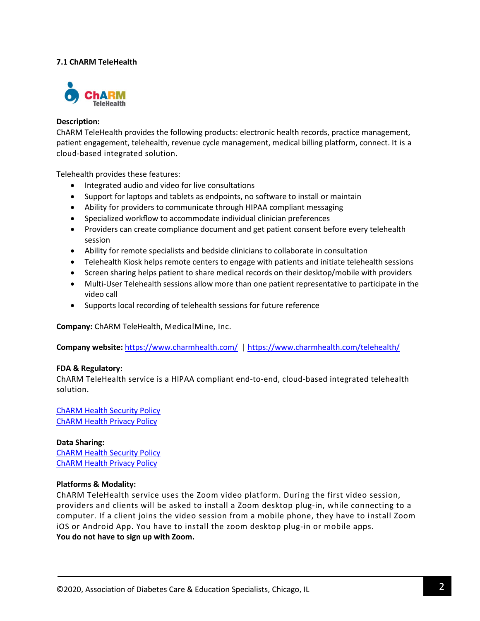# **7.1 ChARM TeleHealth**



### **Description:**

ChARM TeleHealth provides the following products: electronic health records, practice management, patient engagement, telehealth, revenue cycle management, medical billing platform, connect. It is a cloud-based integrated solution.

Telehealth provides these features:

- Integrated audio and video for live consultations
- Support for laptops and tablets as endpoints, no software to install or maintain
- Ability for providers to communicate through HIPAA compliant messaging
- Specialized workflow to accommodate individual clinician preferences
- Providers can create compliance document and get patient consent before every telehealth session
- Ability for remote specialists and bedside clinicians to collaborate in consultation
- Telehealth Kiosk helps remote centers to engage with patients and initiate telehealth sessions
- Screen sharing helps patient to share medical records on their desktop/mobile with providers
- Multi-User Telehealth sessions allow more than one patient representative to participate in the video call
- Supports local recording of telehealth sessions for future reference

**Company:** ChARM TeleHealth, MedicalMine, Inc.

**Company website:** <https://www.charmhealth.com/>|<https://www.charmhealth.com/telehealth/>

### **FDA & Regulatory:**

ChARM TeleHealth service is a HIPAA compliant end-to-end, cloud-based integrated telehealth solution.

[ChARM Health](https://www.charmhealth.com/security.html) Security Policy [ChARM Health Privacy Policy](https://www.charmhealth.com/privacy-policy.html)

**Data Sharing:** [ChARM Health Security Policy](https://www.charmhealth.com/security.html) [ChARM Health Privacy Policy](https://www.charmhealth.com/privacy-policy.html)

### **Platforms & Modality:**

ChARM TeleHealth service uses the Zoom video platform. During the first video session, providers and clients will be asked to install a Zoom desktop plug-in, while connecting to a computer. If a client joins the video session from a mobile phone, they have to install Zoom iOS or Android App. You have to install the zoom desktop plug-in or mobile apps. **You do not have to sign up with Zoom.**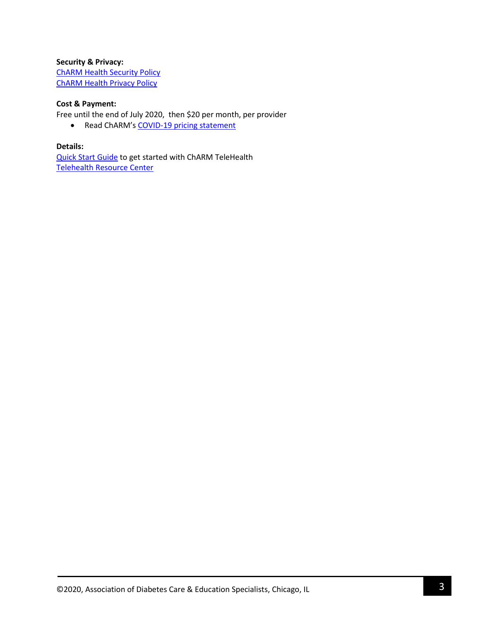# **Security & Privacy:** [ChARM Health Security Policy](https://www.charmhealth.com/security.html) [ChARM Health Privacy Policy](https://www.charmhealth.com/privacy-policy.html)

# **Cost & Payment:**

Free until the end of July 2020, then \$20 per month, per provider

• Read ChARM's [COVID-19 pricing statement](https://www.charmhealth.com/newsletter/ceo-message.html)

# **Details:**

[Quick Start Guide](https://www.charmhealth.com/telehealth/telehealth-guide.html) to get started with ChARM TeleHealth [Telehealth Resource Center](https://www.charmhealth.com/resources/telehealth/telehealth-introduction.html)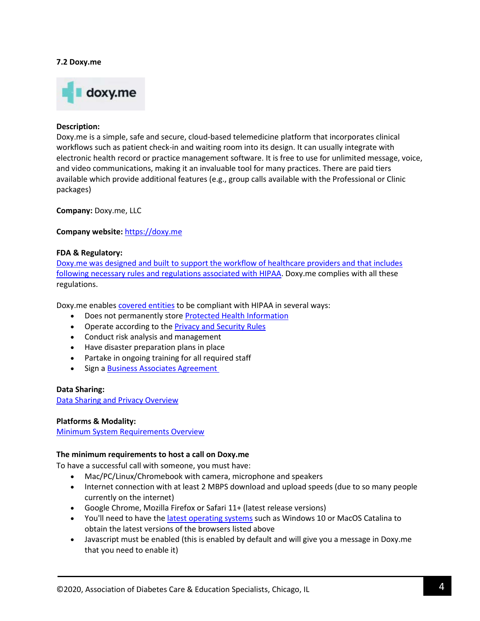### **7.2 Doxy.me**



#### **Description:**

Doxy.me is a simple, safe and secure, cloud-based telemedicine platform that incorporates clinical workflows such as patient check-in and waiting room into its design. It can usually integrate with electronic health record or practice management software. It is free to use for unlimited message, voice, and video communications, making it an invaluable tool for many practices. There are paid tiers available which provide additional features (e.g., group calls available with the Professional or Clinic packages)

**Company:** Doxy.me, LLC

### **Company website:** [https://doxy.me](https://doxy.me/)

#### **FDA & Regulatory:**

[Doxy.me was designed and built to support the workflow of healthcare providers and that includes](https://help.doxy.me/en/articles/95854-is-doxy-me-hipaa-compliant)  [following necessary rules and regulations associated with HIPAA.](https://help.doxy.me/en/articles/95854-is-doxy-me-hipaa-compliant) Doxy.me complies with all these regulations.

Doxy.me enables [covered entities](https://help.doxy.me/getting-started-with-doxy-me/hipaa-baa-and-security/in-name-of-covered-entity-on-the-baa-is-that-my-name-or-the-name-of-the-practice-i-work-at) to be compliant with HIPAA in several ways:

- Does not permanently store [Protected Health Information](https://www.hhs.gov/answers/hipaa/what-is-phi/index.html)
- Operate according to th[e Privacy and Security Rules](https://www.hhs.gov/hipaa/for-professionals/privacy/laws-regulations/combined-regulation-text/index.html)
- Conduct risk analysis and management
- Have disaster preparation plans in place
- Partake in ongoing training for all required staff
- Sign a [Business Associates Agreement](https://help.doxy.me/getting-started-with-doxy-me/getting-started/how-to-get-a-baa-with-doxyme)

#### **Data Sharing:**

[Data Sharing and Privacy Overview](https://doxy.me/privacy-policy)

### **Platforms & Modality:**

[Minimum System Requirements Overview](https://help.doxy.me/en/articles/95860-minimum-system-requirements)

### **The minimum requirements to host a call on Doxy.me**

To have a successful call with someone, you must have:

- Mac/PC/Linux/Chromebook with camera, microphone and speakers
- Internet connection with at least 2 MBPS download and upload speeds (due to so many people currently on the internet)
- Google Chrome, Mozilla Firefox or Safari 11+ (latest release versions)
- You'll need to have the [latest operating systems](https://help.doxy.me/troubleshooting/how-to-update-your-operating-system) such as Windows 10 or MacOS Catalina to obtain the latest versions of the browsers listed above
- Javascript must be enabled (this is enabled by default and will give you a message in Doxy.me that you need to enable it)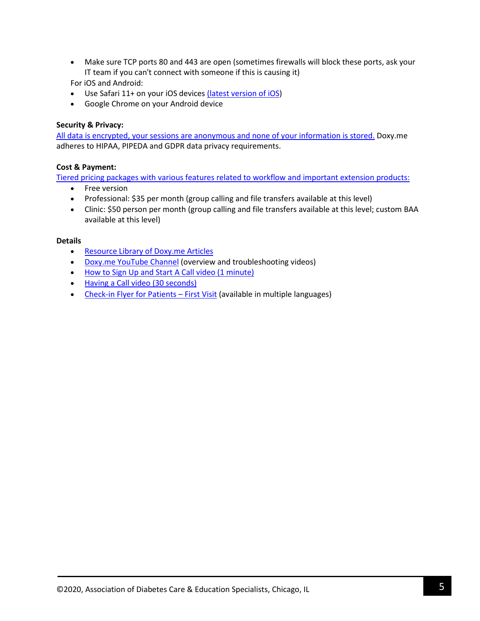• Make sure TCP ports 80 and 443 are open (sometimes firewalls will block these ports, ask your IT team if you can't connect with someone if this is causing it)

For iOS and Android:

- Use Safari 11+ on your iOS devices [\(latest version of iOS\)](https://support.apple.com/en-us/HT204204)
- Google Chrome on your Android device

# **Security & Privacy:**

[All data is encrypted, your sessions are anonymous and none of your information is stored.](https://help.doxy.me/en/articles/95911-is-doxy-me-secure) Doxy.me adheres to HIPAA, PIPEDA and GDPR data privacy requirements.

# **Cost & Payment:**

Tiered pricing packages with various features related to workflow [and important extension products:](https://doxy.me/pricing)

- Free version
- Professional: \$35 per month (group calling and file transfers available at this level)
- Clinic: \$50 person per month (group calling and file transfers available at this level; custom BAA available at this level)

# **Details**

- [Resource Library of Doxy.me Articles](https://help.doxy.me/en/)
- [Doxy.me YouTube Channel](https://www.youtube.com/channel/UCG7_GhTLpoxced6MmMJ1F5Q) (overview and troubleshooting videos)
- [How to Sign Up and Start A](https://www.youtube.com/watch?v=nr9PhPIRI6M) Call video (1 minute)
- Having a Call [video \(30 seconds\)](https://www.youtube.com/watch?v=7mYdBzxRnso)
- [Check-in Flyer for Patients –](https://help.doxy.me/en/articles/95857-check-in-flyer-for-patients) First Visit (available in multiple languages)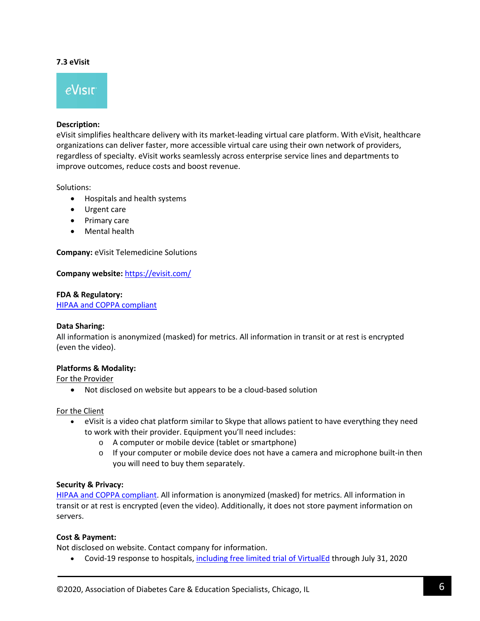### **7.3 eVisit**



### **Description:**

eVisit simplifies healthcare delivery with its market-leading virtual care platform. With eVisit, healthcare organizations can deliver faster, more accessible virtual care using their own network of providers, regardless of specialty. eVisit works seamlessly across enterprise service lines and departments to improve outcomes, reduce costs and boost revenue.

Solutions:

- Hospitals and health systems
- Urgent care
- Primary care
- Mental health

**Company:** eVisit Telemedicine Solutions

**Company website:** <https://evisit.com/>

### **FDA & Regulatory:**

[HIPAA and COPPA compliant](https://evisit.com/product-tour/)

#### **Data Sharing:**

All information is anonymized (masked) for metrics. All information in transit or at rest is encrypted (even the video).

### **Platforms & Modality:**

For the Provider

• Not disclosed on website but appears to be a cloud-based solution

For the Client

- eVisit is a video chat platform similar to Skype that allows patient to have everything they need to work with their provider. Equipment you'll need includes:
	- o A computer or mobile device (tablet or smartphone)
	- $\circ$  If your computer or mobile device does not have a camera and microphone built-in then you will need to buy them separately.

### **Security & Privacy:**

[HIPAA and COPPA compliant.](https://evisit.com/product-tour/) All information is anonymized (masked) for metrics. All information in transit or at rest is encrypted (even the video). Additionally, it does not store payment information on servers.

### **Cost & Payment:**

Not disclosed on website. Contact company for information.

• Covid-19 response to hospitals, [including free limited trial](https://evisit.com/newsroom/evisit-commits-telehealth-expertise-technology-to-fight-against-covid-19/) of VirtualEd through July 31, 2020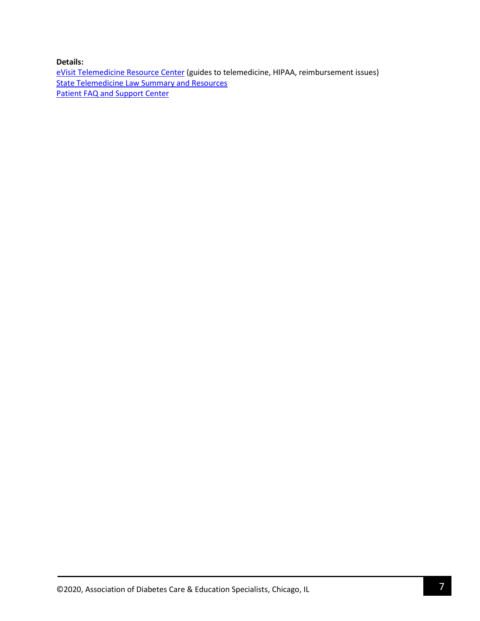**Details:**

[eVisit Telemedicine Resource Center](https://evisit.com/resources-all/) (guides to telemedicine, HIPAA, reimbursement issues) [State Telemedicine Law Summary and Resources](https://evisit.com/state-telemedicine-policy/) [Patient FAQ and Support Center](https://support.evisit.com/)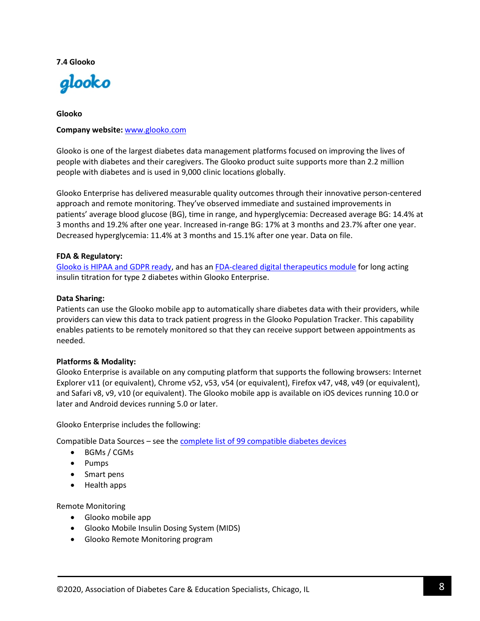### **7.4 Glooko**



# **Glooko**

### **Company website:** [www.glooko.com](http://www.glooko.com/)

Glooko is one of the largest diabetes data management platforms focused on improving the lives of people with diabetes and their caregivers. The Glooko product suite supports more than 2.2 million people with diabetes and is used in 9,000 clinic locations globally.

Glooko Enterprise has delivered measurable quality outcomes through their innovative person-centered approach and remote monitoring. They've observed immediate and sustained improvements in patients' average blood glucose (BG), time in range, and hyperglycemia: Decreased average BG: 14.4% at 3 months and 19.2% after one year. Increased in-range BG: 17% at 3 months and 23.7% after one year. Decreased hyperglycemia: 11.4% at 3 months and 15.1% after one year. Data on file.

### **FDA & Regulatory:**

[Glooko is HIPAA and GDPR ready,](https://www.glooko.com/privacy-security-and-certifications/) and has a[n FDA-cleared digital therapeutics module](https://www.glooko.com/clinics-and-health-systems/#digital-theapeutics) for long acting insulin titration for type 2 diabetes within Glooko Enterprise.

### **Data Sharing:**

Patients can use the Glooko mobile app to automatically share diabetes data with their providers, while providers can view this data to track patient progress in the Glooko Population Tracker. This capability enables patients to be remotely monitored so that they can receive support between appointments as needed.

# **Platforms & Modality:**

Glooko Enterprise is available on any computing platform that supports the following browsers: Internet Explorer v11 (or equivalent), Chrome v52, v53, v54 (or equivalent), Firefox v47, v48, v49 (or equivalent), and Safari v8, v9, v10 (or equivalent). The Glooko mobile app is available on iOS devices running 10.0 or later and Android devices running 5.0 or later.

Glooko Enterprise includes the following:

Compatible Data Sources – see the complete list of 99 [compatible diabetes devices](https://www.glooko.com/compatibility/)

- BGMs / CGMs
- Pumps
- Smart pens
- Health apps

Remote Monitoring

- Glooko mobile app
- Glooko Mobile Insulin Dosing System (MIDS)
- Glooko Remote Monitoring program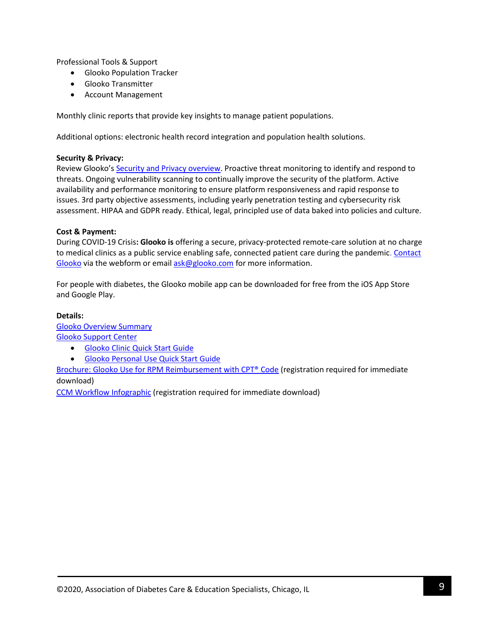Professional Tools & Support

- Glooko Population Tracker
- Glooko Transmitter
- Account Management

Monthly clinic reports that provide key insights to manage patient populations.

Additional options: electronic health record integration and population health solutions.

# **Security & Privacy:**

Review Glooko's [Security and Privacy overview.](https://www.glooko.com/privacy-security-and-certifications/) Proactive threat monitoring to identify and respond to threats. Ongoing vulnerability scanning to continually improve the security of the platform. Active availability and performance monitoring to ensure platform responsiveness and rapid response to issues. 3rd party objective assessments, including yearly penetration testing and cybersecurity risk assessment. HIPAA and GDPR ready. Ethical, legal, principled use of data baked into policies and culture.

# **Cost & Payment:**

During COVID-19 Crisis**: Glooko is** offering a secure, privacy-protected remote-care solution at no charge to medical clinics as a public service enabling safe, connected patient care during the pandemic. Contact [Glooko](https://www.glooko.com/clinics-and-health-systems/) via the webform or emai[l ask@glooko.com](mailto:ask@glooko.com) for more information.

For people with diabetes, the Glooko mobile app can be downloaded for free from the iOS App Store and Google Play.

# **Details:**

[Glooko Overview Summary](https://www.glooko.com/wp-content/uploads/2015-04-Glooko-Fact-Sheet-v4-1.pdf) [Glooko Support Center](https://support.glooko.com/hc/en-us)

- [Glooko Clinic Quick Start Guide](https://support.glooko.com/hc/en-us/articles/360001498129-Glooko-for-Clinics-Quick-Start-Guide)
- [Glooko Personal Use Quick Start Guide](https://support.glooko.com/hc/en-us/articles/360001498269-Glooko-for-Personal-Use-Quick-Start-Guide)

[Brochure: Glooko Use for RPM Reimbursement with CPT® Code](https://www.glooko.com/resource/brochure-cpt-99091-remote-patient-monitoring-2-2/) (registration required for immediate download)

[CCM Workflow Infographic](https://www.glooko.com/resource/ccm-workflow-infographic/) (registration required for immediate download)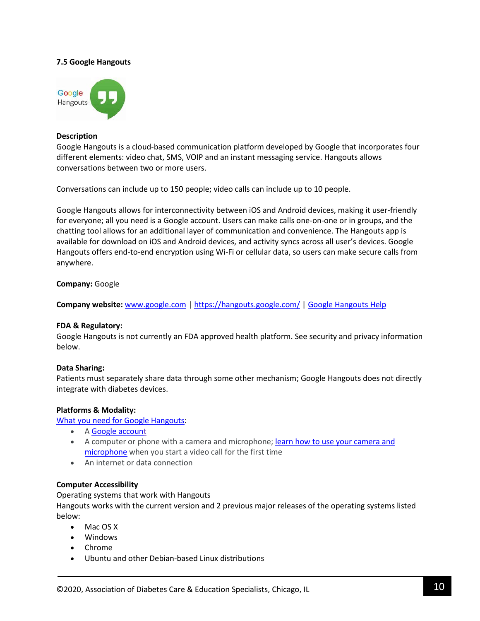### **7.5 Google Hangouts**



#### **Description**

Google Hangouts is a cloud-based communication platform developed by Google that incorporates four different elements: video chat, SMS, VOIP and an instant messaging service. Hangouts allows conversations between two or more users.

Conversations can include up to 150 people; video calls can include up to 10 people.

Google Hangouts allows for interconnectivity between iOS and Android devices, making it user-friendly for everyone; all you need is a Google account. Users can make calls one-on-one or in groups, and the chatting tool allows for an additional layer of communication and convenience. The Hangouts app is available for download on iOS and Android devices, and activity syncs across all user's devices. Google Hangouts offers end-to-end encryption using Wi-Fi or cellular data, so users can make secure calls from anywhere.

### **Company:** Google

**Company website:** [www.google.com](http://www.google.com/) | <https://hangouts.google.com/> | [Google Hangouts Help](https://support.google.com/hangouts#topic=6386410)

### **FDA & Regulatory:**

Google Hangouts is not currently an FDA approved health platform. See security and privacy information below.

### **Data Sharing:**

Patients must separately share data through some other mechanism; Google Hangouts does not directly integrate with diabetes devices.

### **Platforms & Modality:**

[What you need for Google Hangouts:](https://support.google.com/hangouts/answer/2944865?co=GENIE.Platform%3DDesktop&hl=en-GB&oco=1)

- A [Google account](https://accounts.google.com/)
- A computer or phone with a camera and microphone; learn how to use your camera and [microphone](https://support.google.com/hangouts/answer/3110347#cam_mic) when you start a video call for the first time
- An internet or data connection

#### **Computer Accessibility**

Operating systems that work with Hangouts

Hangouts works with the current version and 2 previous major releases of the operating systems listed below:

- Mac OS X
- Windows
- Chrome
- Ubuntu and other Debian-based Linux distributions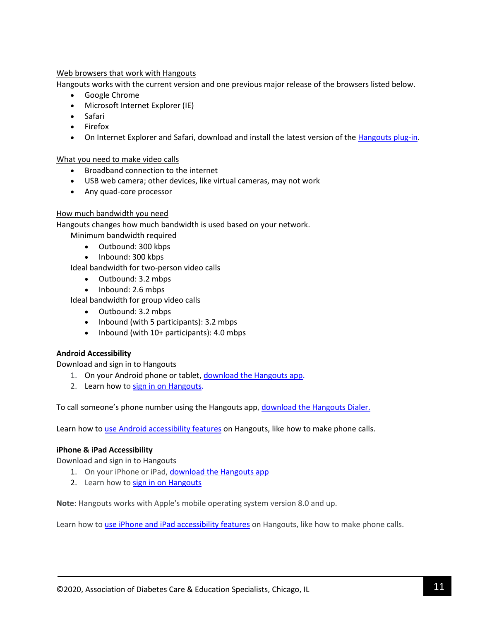# Web browsers that work with Hangouts

Hangouts works with the current version and one previous major release of the browsers listed below.

- Google Chrome
- Microsoft Internet Explorer (IE)
- Safari
- Firefox
- On Internet Explorer and Safari, download and install the latest version of the [Hangouts plug-in.](https://www.google.com/tools/dlpage/hangoutplugin)

What you need to make video calls

- Broadband connection to the internet
- USB web camera; other devices, like virtual cameras, may not work
- Any quad-core processor

# How much bandwidth you need

Hangouts changes how much bandwidth is used based on your network.

Minimum bandwidth required

- Outbound: 300 kbps
- Inbound: 300 kbps

Ideal bandwidth for two-person video calls

- Outbound: 3.2 mbps
- Inbound: 2.6 mbps

Ideal bandwidth for group video calls

- Outbound: 3.2 mbps
- Inbound (with 5 participants): 3.2 mbps
- Inbound (with 10+ participants): 4.0 mbps

# **Android Accessibility**

Download and sign in to Hangouts

- 1. On your Android phone or tablet, [download the Hangouts app.](https://play.google.com/store/apps/details?id=com.google.android.talk&)
- 2. Learn how to [sign in on Hangouts.](https://support.google.com/hangouts/answer/3114221?hl=en-GB)

To call someone's phone number using the Hangouts app, [download the Hangouts Dialer.](https://play.google.com/store/apps/details?id=com.google.android.apps.hangoutsdialer)

Learn how to [use Android accessibility features](https://support.google.com/accessibility/android/) on Hangouts, like how to make phone calls.

# **iPhone & iPad Accessibility**

Download and sign in to Hangouts

- 1. On your iPhone or iPad, [download the Hangouts app](https://itunes.apple.com/us/app/hangouts/id643496868?mt=8&ign-mpt=uo%3D2)
- 2. Learn how to [sign in on Hangouts](https://support.google.com/hangouts/answer/3114221?hl=en-GB)

**Note**: Hangouts works with Apple's mobile operating system version 8.0 and up.

Learn how to [use iPhone and iPad accessibility features](https://www.apple.com/uk/accessibility/ios/) on Hangouts, like how to make phone calls.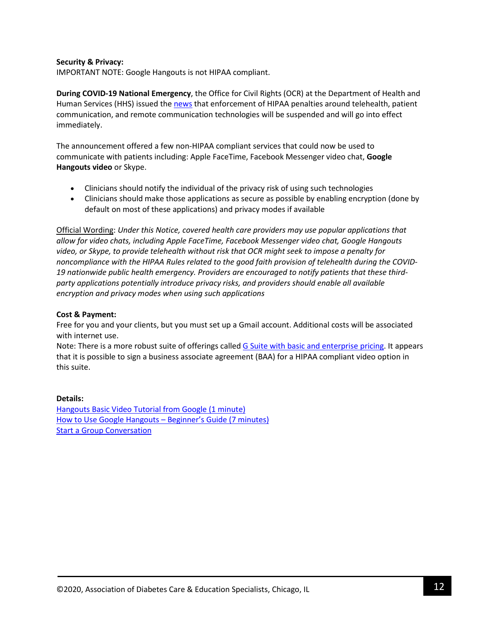### **Security & Privacy:**

IMPORTANT NOTE: Google Hangouts is not HIPAA compliant.

**During COVID-19 National Emergency**, the Office for Civil Rights (OCR) at the Department of Health and Human Services (HHS) issued the [news](https://www.hhs.gov/hipaa/for-professionals/special-topics/emergency-preparedness/notification-enforcement-discretion-telehealth/index.html) that enforcement of HIPAA penalties around telehealth, patient communication, and remote communication technologies will be suspended and will go into effect immediately.

The announcement offered a few non-HIPAA compliant services that could now be used to communicate with patients including: Apple FaceTime, Facebook Messenger video chat, **Google Hangouts video** or Skype.

- Clinicians should notify the individual of the privacy risk of using such technologies
- Clinicians should make those applications as secure as possible by enabling encryption (done by default on most of these applications) and privacy modes if available

Official Wording: *Under this Notice, covered health care providers may use popular applications that allow for video chats, including Apple FaceTime, Facebook Messenger video chat, Google Hangouts video, or Skype, to provide telehealth without risk that OCR might seek to impose a penalty for noncompliance with the HIPAA Rules related to the good faith provision of telehealth during the COVID-19 nationwide public health emergency. Providers are encouraged to notify patients that these thirdparty applications potentially introduce privacy risks, and providers should enable all available encryption and privacy modes when using such applications*

# **Cost & Payment:**

Free for you and your clients, but you must set up a Gmail account. Additional costs will be associated with internet use.

Note: There is a more robust suite of offerings calle[d G Suite with basic and enterprise pricing.](https://gsuite.google.com/pricing.html) It appears that it is possible to sign a business associate agreement (BAA) for a HIPAA compliant video option in this suite.

### **Details:**

[Hangouts Basic Video Tutorial from Google \(1 minute\)](https://www.youtube.com/watch?v=g2-tsGelk4U&feature=youtu.be) [How to Use Google Hangouts –](https://www.youtube.com/watch?v=lfZ1Wyltxjo) Beginner's Guide (7 minutes) [Start a Group Conversation](https://support.google.com/hangouts/answer/3111943?hl=en-GB&ref_topic=6386410)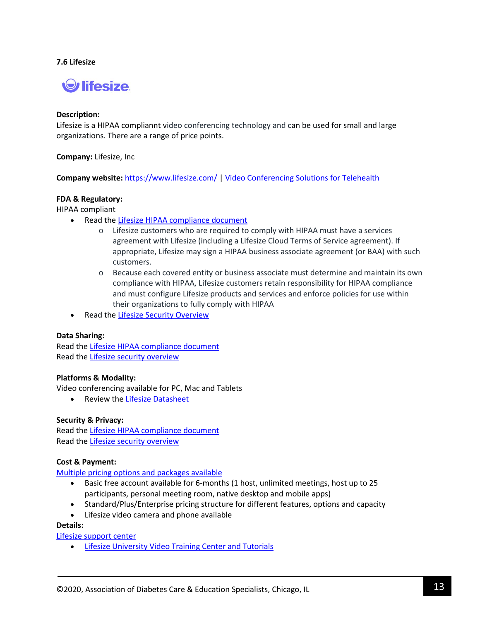### **7.6 Lifesize**



### **Description:**

Lifesize is a HIPAA compliannt video conferencing technology and can be used for small and large organizations. There are a range of price points.

**Company:** Lifesize, Inc

**Company website:** <https://www.lifesize.com/> | [Video Conferencing Solutions for Telehealth](https://www.lifesize.com/en/solutions/industry/healthcare)

### **FDA & Regulatory:**

HIPAA compliant

- Read th[e Lifesize HIPAA compliance document](https://www.lifesize.com/en/resources/product-papers/lifesize-healthcare-solutions-and-hipaa-compliance)
	- o Lifesize customers who are required to comply with HIPAA must have a services agreement with Lifesize (including a Lifesize Cloud Terms of Service agreement). If appropriate, Lifesize may sign a HIPAA business associate agreement (or BAA) with such customers.
	- o Because each covered entity or business associate must determine and maintain its own compliance with HIPAA, Lifesize customers retain responsibility for HIPAA compliance and must configure Lifesize products and services and enforce policies for use within their organizations to fully comply with HIPAA
- Read th[e Lifesize Security Overview](https://www.lifesize.com/%7E/media/Documents/Related%20Resources/Product%20Papers/Lifesize%20Cloud%20Security.ashx?la=en)

### **Data Sharing:**

Read th[e Lifesize HIPAA compliance document](https://www.lifesize.com/en/resources/product-papers/lifesize-healthcare-solutions-and-hipaa-compliance) Read th[e Lifesize security overview](https://www.lifesize.com/%7E/media/Documents/Related%20Resources/Product%20Papers/Lifesize%20Cloud%20Security.ashx?la=en)

# **Platforms & Modality:**

Video conferencing available for PC, Mac and Tablets

• Review the [Lifesize Datasheet](https://www.lifesize.com/%7E/media/Documents/Product%20Documentation/Cloud/Product%20Datasheets/Lifesize%20Cloud%20Datasheet%20English%20USL.ashx?la=en)

### **Security & Privacy:**

Read th[e Lifesize HIPAA compliance document](https://www.lifesize.com/en/resources/product-papers/lifesize-healthcare-solutions-and-hipaa-compliance) Read th[e Lifesize security overview](https://www.lifesize.com/%7E/media/Documents/Related%20Resources/Product%20Papers/Lifesize%20Cloud%20Security.ashx?la=en)

### **Cost & Payment:**

[Multiple pricing options and packages available](https://www.lifesize.com/en/video-conferencing-app/pricing)

- Basic free account available for 6-months (1 host, unlimited meetings, host up to 25 participants, personal meeting room, native desktop and mobile apps)
- Standard/Plus/Enterprise pricing structure for different features, options and capacity
- Lifesize video camera and phone available

# **Details:**

[Lifesize support](https://www.lifesize.com/en/support) center

• [Lifesize University Video Training Center and Tutorials](https://community.lifesize.com/s/university)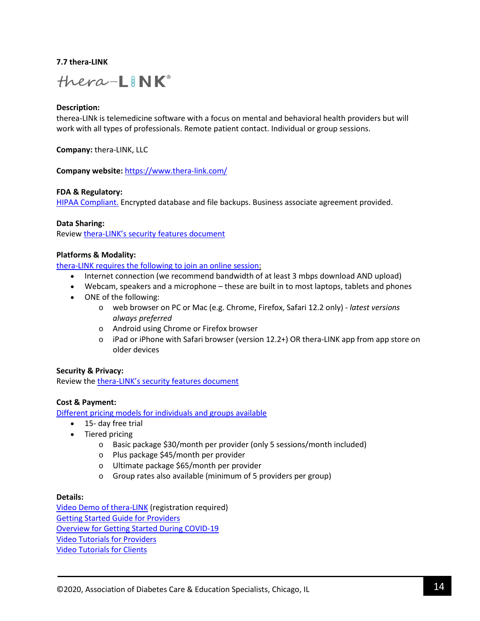# **7.7 thera-LINK**



### **Description:**

therea-LINk is telemedicine software with a focus on mental and behavioral health providers but will work with all types of professionals. Remote patient contact. Individual or group sessions.

**Company:** thera-LINK, LLC

**Company website:** <https://www.thera-link.com/>

### **FDA & Regulatory:**

[HIPAA Compliant.](https://www.thera-link.com/wp-content/uploads/2019/11/2019-Security-PDF-1.pdf) Encrypted database and file backups. Business associate agreement provided.

### **Data Sharing:**

Review [thera-LINK's security features document](https://www.thera-link.com/security/)

### **Platforms & Modality:**

[thera-LINK requires the following](https://intercom.help/thera-link/en/articles/358481-what-are-the-minimum-technical-requirements-for-joining-or-starting-a-session) to join an online session:

- Internet connection (we recommend bandwidth of at least 3 mbps download AND upload)
- Webcam, speakers and a microphone these are built in to most laptops, tablets and phones
- ONE of the following:
	- o web browser on PC or Mac (e.g. Chrome, Firefox, Safari 12.2 only) *latest versions always preferred*
	- o Android using Chrome or Firefox browser
	- o iPad or iPhone with Safari browser (version 12.2+) OR thera-LINK app from app store on older devices

### **Security & Privacy:**

Review the [thera-LINK's security features document](https://www.thera-link.com/security/)

### **Cost & Payment:**

[Different pricing models for individuals and groups available](https://www.thera-link.com/pricing/)

- 15- day free trial
- Tiered pricing
	- o Basic package \$30/month per provider (only 5 sessions/month included)
	- o Plus package \$45/month per provider
	- o Ultimate package \$65/month per provider
	- o Group rates also available (minimum of 5 providers per group)

#### **Details:**

[Video Demo of thera-LINK](https://go.thera-link.com/watch-recorded-demo-form) (registration required) [Getting Started Guide for Providers](https://intercom.help/thera-link/en/articles/2784992-getting-started-guide-for-providers) [Overview for Getting Started During COVID-19](https://intercom.help/thera-link/en/articles/3790416-considering-telehealth-options-during-covid-19) [Video Tutorials for Providers](https://www.thera-link.com/videos/) [Video Tutorials for Clients](https://www.thera-link.com/client-videos/)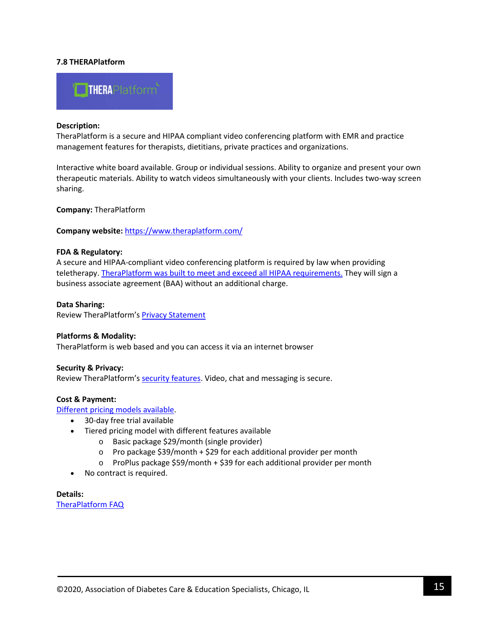# **7.8 THERAPlatform**



#### **Description:**

TheraPlatform is a secure and HIPAA compliant video conferencing platform with EMR and practice management features for therapists, dietitians, private practices and organizations.

Interactive white board available. Group or individual sessions. Ability to organize and present your own therapeutic materials. Ability to watch videos simultaneously with your clients. Includes two-way screen sharing.

**Company:** TheraPlatform

**Company website:** <https://www.theraplatform.com/>

#### **FDA & Regulatory:**

A secure and HIPAA-compliant video conferencing platform is required by law when providing teletherapy. [TheraPlatform was built to meet and exceed all HIPAA requirements.](https://www.theraplatform.com/features/hipaa-compliant-video-conferencing) They will sign a business associate agreement (BAA) without an additional charge.

**Data Sharing:**

Review TheraPlatform's **Privacy Statement** 

### **Platforms & Modality:**

TheraPlatform is web based and you can access it via an internet browser

#### **Security & Privacy:**

Review TheraPlatform's [security features.](https://www.theraplatform.com/features/security) Video, chat and messaging is secure.

### **Cost & Payment:**

[Different pricing models available.](https://www.theraplatform.com/Pricing) 

- 30-day free trial available
- Tiered pricing model with different features available
	- o Basic package \$29/month (single provider)
	- $\circ$  Pro package \$39/month + \$29 for each additional provider per month
	- o ProPlus package \$59/month + \$39 for each additional provider per month
- No contract is required.

**Details:** [TheraPlatform FAQ](https://www.theraplatform.com/faq)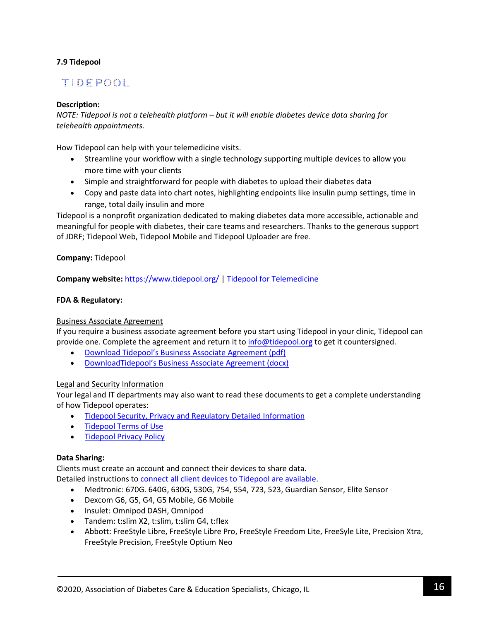# **7.9 Tidepool**

# **TIDEFOOL**

# **Description:**

*NOTE: Tidepool is not a telehealth platform – but it will enable diabetes device data sharing for telehealth appointments.*

How Tidepool can help with your telemedicine visits.

- Streamline your workflow with a single technology supporting multiple devices to allow you more time with your clients
- Simple and straightforward for people with diabetes to upload their diabetes data
- Copy and paste data into chart notes, highlighting endpoints like insulin pump settings, time in range, total daily insulin and more

Tidepool is a nonprofit organization dedicated to making diabetes data more accessible, actionable and meaningful for people with diabetes, their care teams and researchers. Thanks to the generous support of JDRF; Tidepool Web, Tidepool Mobile and Tidepool Uploader are free.

**Company:** Tidepool

**Company website:** <https://www.tidepool.org/> [| Tidepool for Telemedicine](https://www.tidepool.org/telemedicine)

# **FDA & Regulatory:**

# Business Associate Agreement

If you require a business associate agreement before you start using Tidepool in your clinic, Tidepool can provide one. Complete the agreement and return it to [info@tidepool.org](mailto:info@tidepool.org) to get it countersigned.

- Download Tidepool's [Business Associate Agreement \(pdf\)](https://drive.google.com/open?id=1zWTG21d_1xFF-M_IGeFlKwRdL3Q5XGIn)
- DownloadTidepool's [Business Associate Agreement \(docx\)](https://drive.google.com/open?id=1ijd6mDYOcBubsmUFjqzPRi48-w5t7uz-)

# Legal and Security Information

Your legal and IT departments may also want to read these documents to get a complete understanding of how Tidepool operates:

- [Tidepool Security, Privacy and Regulatory Detailed Information](https://docs.google.com/document/d/1ZLvnUihbvpSITs0lJfpSLsryPzAFHMSi_YdzToAzJu0/edit#heading=h.hx6cjf7pylf)
- [Tidepool Terms of Use](https://developer.tidepool.org/terms-of-use/)
- [Tidepool Privacy Policy](https://developer.tidepool.org/privacy-policy/)

# **Data Sharing:**

Clients must create an account and connect their devices to share data.

- Detailed instructions to [connect all client devices to Tidepool are available.](https://www.tidepool.org/users/devices)
	- Medtronic: 670G. 640G, 630G, 530G, 754, 554, 723, 523, Guardian Sensor, Elite Sensor
	- Dexcom G6, G5, G4, G5 Mobile, G6 Mobile
	- Insulet: Omnipod DASH, Omnipod
	- Tandem: t:slim X2, t:slim, t:slim G4, t:flex
	- Abbott: FreeStyle Libre, FreeStyle Libre Pro, FreeStyle Freedom Lite, FreeSyle Lite, Precision Xtra, FreeStyle Precision, FreeStyle Optium Neo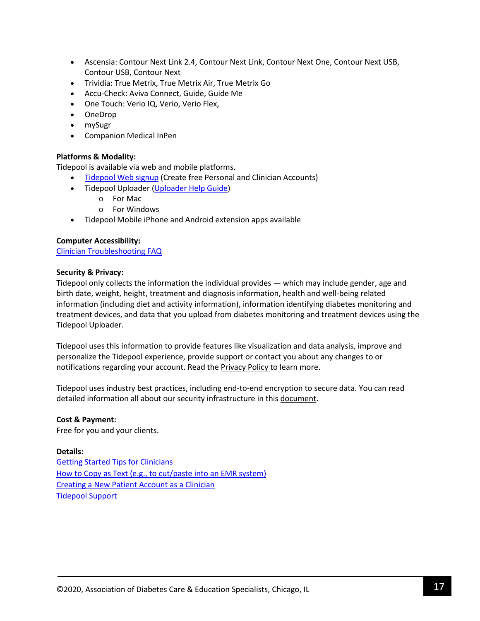- Ascensia: Contour Next Link 2.4, Contour Next Link, Contour Next One, Contour Next USB, Contour USB, Contour Next
- Trividia: True Metrix, True Metrix Air, True Metrix Go
- Accu-Check: Aviva Connect, Guide, Guide Me
- One Touch: Verio IQ, Verio, Verio Flex,
- OneDrop
- mySugr
- Companion Medical InPen

# **Platforms & Modality:**

Tidepool is available via web and mobile platforms.

- [Tidepool Web](https://app.tidepool.org/signup) signup (Create free Personal and Clinician Accounts)
	- Tidepool Uploader [\(Uploader Help Guide\)](https://support.tidepool.org/hc/en-us/categories/360001187732-Uploading-your-Data)
		- o For Mac
		- o For Windows
- Tidepool Mobile iPhone and Android extension apps available

# **Computer Accessibility:**

[Clinician Troubleshooting FAQ](https://support.tidepool.org/hc/en-us/articles/360041337812-Clinician-Troubleshooting-Frequently-Asked-Questions)

### **Security & Privacy:**

Tidepool only collects the information the individual provides — which may include gender, age and birth date, weight, height, treatment and diagnosis information, health and well-being related information (including diet and activity information), information identifying diabetes monitoring and treatment devices, and data that you upload from diabetes monitoring and treatment devices using the Tidepool Uploader.

Tidepool uses this information to provide features like visualization and data analysis, improve and personalize the Tidepool experience, provide support or contact you about any changes to or notifications regarding your account. Read the [Privacy Policy](https://developer.tidepool.org/privacy-policy/) to learn more.

Tidepool uses industry best practices, including end-to-end encryption to secure data. You can read detailed information all about our security infrastructure in this [document.](https://docs.google.com/document/d/1ZLvnUihbvpSITs0lJfpSLsryPzAFHMSi_YdzToAzJu0/edit#heading=h.hx6cjf7pylf)

# **Cost & Payment:**

Free for you and your clients.

# **Details:**

[Getting Started Tips for Clinicians](https://support.tidepool.org/hc/en-us/articles/360040762292-Getting-Started-Tips-for-Clinicians) [How to Copy as Text \(e.g., to cut/paste into an](https://support.tidepool.org/hc/en-us/articles/360035823492-How-to-copy-as-text-Basics-Trends-Device-Settings-) EMR system) [Creating a New Patient Account as a Clinician](https://support.tidepool.org/hc/en-us/articles/360029369312-Creating-a-new-patient-account) [Tidepool Support](https://support.tidepool.org/hc/en-us)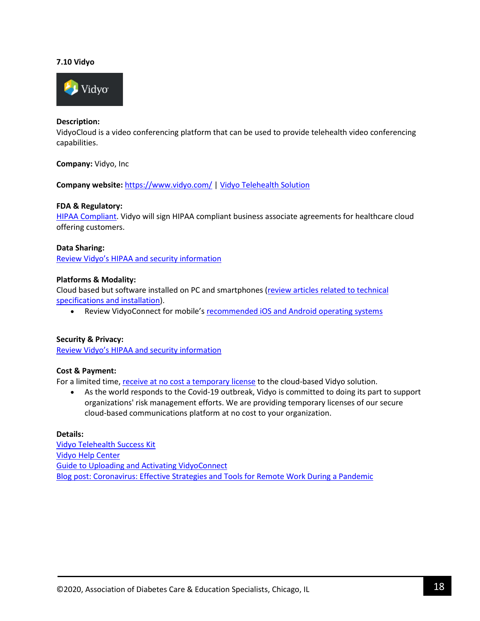### **7.10 Vidyo**



### **Description:**

VidyoCloud is a video conferencing platform that can be used to provide telehealth video conferencing capabilities.

### **Company:** Vidyo, Inc

**Company website:** <https://www.vidyo.com/> [| Vidyo Telehealth Solution](https://www.vidyo.com/video-conferencing-solutions/industry/telehealth)

#### **FDA & Regulatory:**

[HIPAA Compliant.](https://www.vidyo.com/hipaa) Vidyo will sign HIPAA compliant business associate agreements for healthcare cloud offering customers.

#### **Data Sharing:**

[Review Vidyo's HIPAA and security information](https://www.vidyo.com/hipaa)

#### **Platforms & Modality:**

Cloud based but software installed on PC and smartphones [\(review articles related to technical](https://support.vidyocloud.com/hc/en-us/sections/115000595733-Installing-VidyoConnect-)  [specifications and installation\)](https://support.vidyocloud.com/hc/en-us/sections/115000595733-Installing-VidyoConnect-).

• Review VidyoConnect for mobile'[s recommended iOS and Android operating systems](https://support.vidyocloud.com/hc/en-us/articles/360000554754-VidyoConnect-for-Mobile-Recommended-iOS-and-Android-Operating-Systems-)

### **Security & Privacy:**

[Review Vidyo's HIPAA and security information](https://www.vidyo.com/hipaa)

### **Cost & Payment:**

For a limited time[, receive at no cost a temporary license](https://info.vidyo.com/vidyo-license.html?utm_source=vidyocom_header_ad) to the cloud-based Vidyo solution.

• As the world responds to the Covid-19 outbreak, Vidyo is committed to doing its part to support organizations' risk management efforts. We are providing temporary licenses of our secure cloud-based communications platform at no cost to your organization.

#### **Details:**

[Vidyo Telehealth Success Kit](https://info.vidyo.com/telehealth-success-kit-microsite.html) [Vidyo Help Center](https://support.vidyocloud.com/hc/en-us) [Guide to Uploading and Activating](https://support.vidyocloud.com/hc/en-us/articles/223015248-Uploading-and-Activating-VidyoConnect) VidyoConnect [Blog post: Coronavirus: Effective Strategies and Tools for Remote Work During a Pandemic](https://blog.vidyo.com/technology/coronavirus-effective-strategies-and-tools-for-remote-work-during-a-pandemic/)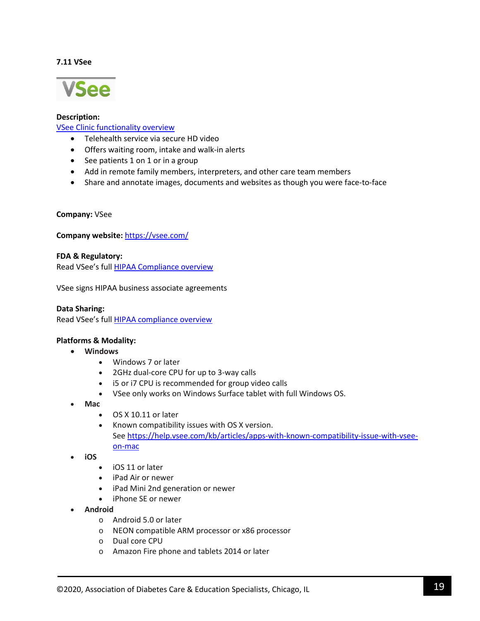### **7.11 VSee**



# **Description:**

# [VSee Clinic functionality overview](https://vsee.com/clinic/)

- Telehealth service via secure HD video
- Offers waiting room, intake and walk-in alerts
- See patients 1 on 1 or in a group
- Add in remote family members, interpreters, and other care team members
- Share and annotate images, documents and websites as though you were face-to-face

### **Company:** VSee

### **Company website:** <https://vsee.com/>

# **FDA & Regulatory:**

Read VSee's ful[l HIPAA Compliance overview](https://vsee.com/hipaa)

VSee signs HIPAA business associate agreements

### **Data Sharing:**

Read VSee's ful[l HIPAA compliance overview](https://vsee.com/hipaa)

### **Platforms & Modality:**

- **Windows**
	- Windows 7 or later
	- 2GHz dual-core CPU for up to 3-way calls
	- i5 or i7 CPU is recommended for group video calls
	- VSee only works on Windows Surface tablet with full Windows OS.
- **Mac**
	- OS X 10.11 or later
	- Known compatibility issues with OS X version. See [https://help.vsee.com/kb/articles/apps-with-known-compatibility-issue-with-vsee](https://help.vsee.com/kb/articles/apps-with-known-compatibility-issue-with-vsee-on-mac)[on-mac](https://help.vsee.com/kb/articles/apps-with-known-compatibility-issue-with-vsee-on-mac)
- **iOS**
	- iOS 11 or later
	- iPad Air or newer
	- iPad Mini 2nd generation or newer
	- iPhone SE or newer
- **Android**
	- o Android 5.0 or later
	- o NEON compatible ARM processor or x86 processor
	- o Dual core CPU
	- o Amazon Fire phone and tablets 2014 or later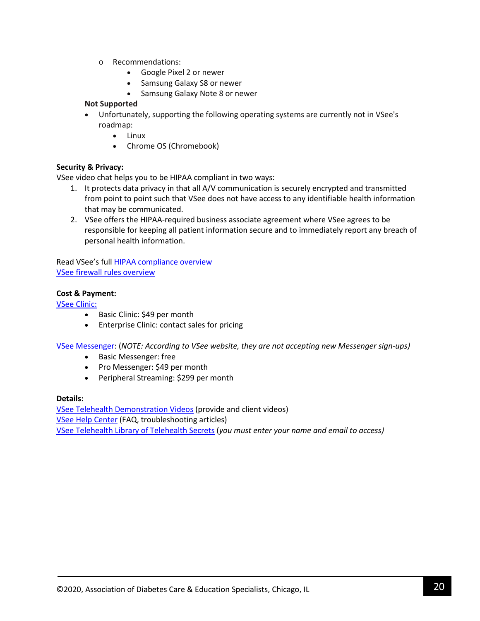- o Recommendations:
	- Google Pixel 2 or newer
	- Samsung Galaxy S8 or newer
	- Samsung Galaxy Note 8 or newer

# **Not Supported**

- Unfortunately, supporting the following operating systems are currently not in VSee's roadmap:
	- Linux
	- Chrome OS (Chromebook)

# **Security & Privacy:**

VSee video chat helps you to be HIPAA compliant in two ways:

- 1. It protects data privacy in that all A/V communication is securely encrypted and transmitted from point to point such that VSee does not have access to any identifiable health information that may be communicated.
- 2. VSee offers the HIPAA-required business associate agreement where VSee agrees to be responsible for keeping all patient information secure and to immediately report any breach of personal health information.

Read VSee's ful[l HIPAA compliance overview](https://vsee.com/hipaa) [VSee firewall rules overview](https://vsee.com/firewall/)

# **Cost & Payment:**

[VSee Clinic:](https://vsee.com/clinic/)

- Basic Clinic: \$49 per month
- Enterprise Clinic: contact sales for pricing

[VSee Messenger:](https://vsee.com/messenger/) (*NOTE: According to VSee website, they are not accepting new Messenger sign-ups)* 

- Basic Messenger: free
- Pro Messenger: \$49 per month
- Peripheral Streaming: \$299 per month

# **Details:**

[VSee Telehealth Demonstration Videos](https://vsee.com/tutorials) (provide and client videos) [VSee Help](https://help.vsee.com/) Center (FAQ, troubleshooting articles) [VSee Telehealth Library of Telehealth Secrets](https://vsee.com/secrets/) (*you must enter your name and email to access)*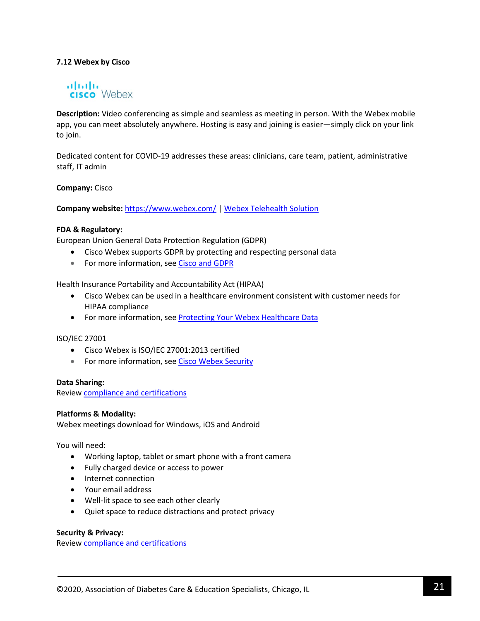# **7.12 Webex by Cisco**

# almlu **CISCO** Webex

**Description:** Video conferencing as simple and seamless as meeting in person. With the Webex mobile app, you can meet absolutely anywhere. Hosting is easy and joining is easier—simply click on your link to join.

Dedicated content for COVID-19 addresses these areas: clinicians, care team, patient, administrative staff, IT admin

**Company:** Cisco

**Company website:** <https://www.webex.com/> | [Webex Telehealth Solution](https://www.webex.com/webexremotehealth.html)

#### **FDA & Regulatory:**

European Union General Data Protection Regulation (GDPR)

- Cisco Webex supports GDPR by protecting and respecting personal data
- For more information, see [Cisco and GDPR](https://www.cisco.com/c/en/us/about/trust-center/gdpr.html)

Health Insurance Portability and Accountability Act (HIPAA)

- Cisco Webex can be used in a healthcare environment consistent with customer needs for HIPAA compliance
- For more information, see **[Protecting Your Webex Healthcare Data](https://blogs.cisco.com/collaboration/protecting-your-webex-healthcare-data)**

ISO/IEC 27001

- Cisco Webex is ISO/IEC 27001:2013 certified
- For more information, see [Cisco Webex Security](https://www.cisco.com/c/en/us/solutions/collaboration/webex-security.html)

#### **Data Sharing:**

Review [compliance and certifications](https://help.webex.com/en-us/pdz31w/Cisco-Webex-Compliance-and-Certifications)

### **Platforms & Modality:**

Webex meetings download for Windows, iOS and Android

You will need:

- Working laptop, tablet or smart phone with a front camera
- Fully charged device or access to power
- Internet connection
- Your email address
- Well-lit space to see each other clearly
- Quiet space to reduce distractions and protect privacy

**Security & Privacy:**

Review [compliance and certifications](https://help.webex.com/en-us/pdz31w/Cisco-Webex-Compliance-and-Certifications)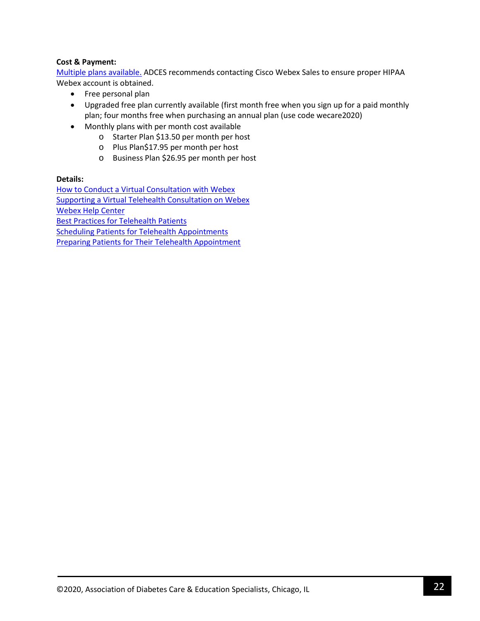# **Cost & Payment:**

[Multiple plans available.](https://www.webex.com/pricing/index.html) ADCES recommends contacting Cisco Webex Sales to ensure proper HIPAA Webex account is obtained.

- Free personal plan
- Upgraded free plan currently available (first month free when you sign up for a paid monthly plan; four months free when purchasing an annual plan (use code wecare2020)
- Monthly plans with per month cost available
	- o Starter Plan \$13.50 per month per host
	- o Plus Plan\$17.95 per month per host
	- o Business Plan \$26.95 per month per host

# **Details:**

[How to Conduct a Virtual Consultation with Webex](https://www.webex.com/content/dam/webex/eopi/assets/healthcare/VirtualConsultationClinician.pdf) [Supporting a Virtual Telehealth Consultation on Webex](https://www.webex.com/content/dam/webex/eopi/assets/healthcare/SupportingAVirtualConsultation.pdf) [Webex Help Center](https://help.webex.com/en-us/) [Best Practices for Telehealth Patients](https://www.webex.com/content/dam/webex/eopi/assets/healthcare/PatientBestPracticesWebexMeetings.pdf) [Scheduling Patients for Telehealth Appointments](https://www.webex.com/content/dam/webex/eopi/assets/healthcare/AdministrativeScheduleOnBehalfOf.pdf) [Preparing Patients for Their Telehealth Appointment](https://www.webex.com/content/dam/webex/eopi/assets/healthcare/AdministrativePreparePatientsForTelehealtht.pdf)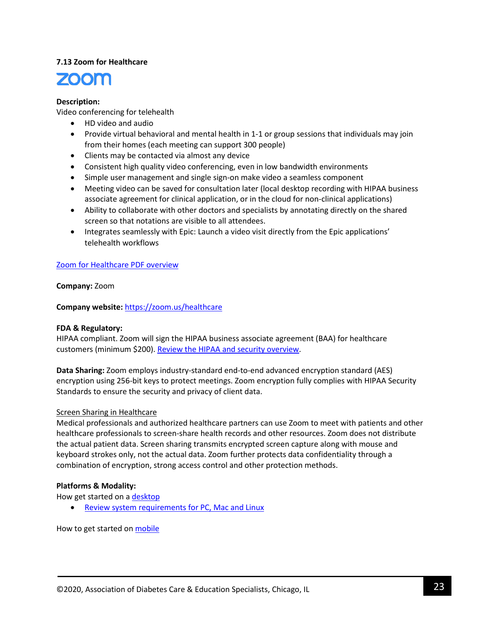# **7.13 Zoom for Healthcare**



# **Description:**

Video conferencing for telehealth

- HD video and audio
- Provide virtual behavioral and mental health in 1-1 or group sessions that individuals may join from their homes (each meeting can support 300 people)
- Clients may be contacted via almost any device
- Consistent high quality video conferencing, even in low bandwidth environments
- Simple user management and single sign-on make video a seamless component
- Meeting video can be saved for consultation later (local desktop recording with HIPAA business associate agreement for clinical application, or in the cloud for non-clinical applications)
- Ability to collaborate with other doctors and specialists by annotating directly on the shared screen so that notations are visible to all attendees.
- Integrates seamlessly with Epic: Launch a video visit directly from the Epic applications' telehealth workflows

# [Zoom for Healthcare PDF overview](https://zoom.us/docs/doc/Zoom%20for%20Healthcare.pdf)

**Company:** Zoom

**Company website:** <https://zoom.us/healthcare>

# **FDA & Regulatory:**

HIPAA compliant. Zoom will sign the HIPAA business associate agreement (BAA) for healthcare customers (minimum \$200). [Review the HIPAA and security overview.](https://zoom.us/docs/doc/Zoom-hipaa.pdf)

**Data Sharing:** Zoom employs industry-standard end-to-end advanced encryption standard (AES) encryption using 256-bit keys to protect meetings. Zoom encryption fully complies with HIPAA Security Standards to ensure the security and privacy of client data.

# Screen Sharing in Healthcare

Medical professionals and authorized healthcare partners can use Zoom to meet with patients and other healthcare professionals to screen-share health records and other resources. Zoom does not distribute the actual patient data. Screen sharing transmits encrypted screen capture along with mouse and keyboard strokes only, not the actual data. Zoom further protects data confidentiality through a combination of encryption, strong access control and other protection methods.

# **Platforms & Modality:**

How get started on a [desktop](https://support.zoom.us/hc/en-us/sections/200305583-Desktop)

• [Review system requirements for PC, Mac and Linux](https://support.zoom.us/hc/en-us/articles/201362023-System-Requirements-for-PC-Mac-and-Linux)

How to get started on **mobile**